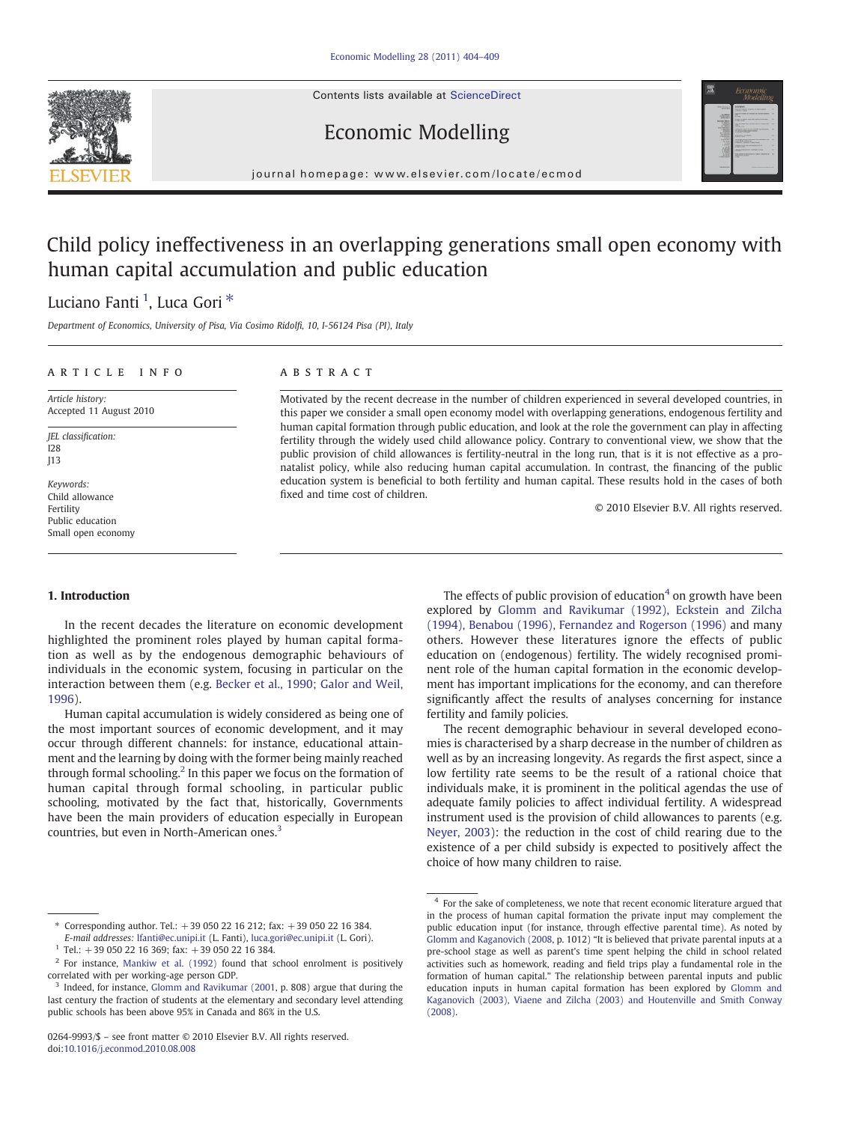Contents lists available at [ScienceDirect](http://www.sciencedirect.com/science/journal/02649993)





Economic Modelling

journal homepage: www.elsevier.com/locate/ecmod

## Child policy ineffectiveness in an overlapping generations small open economy with human capital accumulation and public education

## Luciano Fanti<sup>1</sup>, Luca Gori<sup>\*</sup>

Department of Economics, University of Pisa, Via Cosimo Ridolfi, 10, I-56124 Pisa (PI), Italy

### article info abstract

Article history: Accepted 11 August 2010

JEL classification: I28 J13

Keywords: Child allowance Fertility Public education Small open economy

Motivated by the recent decrease in the number of children experienced in several developed countries, in this paper we consider a small open economy model with overlapping generations, endogenous fertility and human capital formation through public education, and look at the role the government can play in affecting fertility through the widely used child allowance policy. Contrary to conventional view, we show that the public provision of child allowances is fertility-neutral in the long run, that is it is not effective as a pronatalist policy, while also reducing human capital accumulation. In contrast, the financing of the public education system is beneficial to both fertility and human capital. These results hold in the cases of both fixed and time cost of children.

© 2010 Elsevier B.V. All rights reserved.

### 1. Introduction

In the recent decades the literature on economic development highlighted the prominent roles played by human capital formation as well as by the endogenous demographic behaviours of individuals in the economic system, focusing in particular on the interaction between them (e.g. [Becker et al., 1990; Galor and Weil,](#page--1-0) [1996](#page--1-0)).

Human capital accumulation is widely considered as being one of the most important sources of economic development, and it may occur through different channels: for instance, educational attainment and the learning by doing with the former being mainly reached through formal schooling.<sup>2</sup> In this paper we focus on the formation of human capital through formal schooling, in particular public schooling, motivated by the fact that, historically, Governments have been the main providers of education especially in European countries, but even in North-American ones.<sup>3</sup>

The effects of public provision of education $4$  on growth have been explored by [Glomm and Ravikumar \(1992\), Eckstein and Zilcha](#page--1-0) [\(1994\), Benabou \(1996\), Fernandez and Rogerson \(1996\)](#page--1-0) and many others. However these literatures ignore the effects of public education on (endogenous) fertility. The widely recognised prominent role of the human capital formation in the economic development has important implications for the economy, and can therefore significantly affect the results of analyses concerning for instance fertility and family policies.

The recent demographic behaviour in several developed economies is characterised by a sharp decrease in the number of children as well as by an increasing longevity. As regards the first aspect, since a low fertility rate seems to be the result of a rational choice that individuals make, it is prominent in the political agendas the use of adequate family policies to affect individual fertility. A widespread instrument used is the provision of child allowances to parents (e.g. [Neyer, 2003\)](#page--1-0): the reduction in the cost of child rearing due to the existence of a per child subsidy is expected to positively affect the choice of how many children to raise.

<sup>⁎</sup> Corresponding author. Tel.: +39 050 22 16 212; fax: +39 050 22 16 384.

E-mail addresses: [lfanti@ec.unipi.it](mailto:lfanti@ec.unipi.it) (L. Fanti), [luca.gori@ec.unipi.it](mailto:luca.gori@ec.unipi.it) (L. Gori).

 $1$  Tel.: +39 050 22 16 369; fax: +39 050 22 16 384.

<sup>&</sup>lt;sup>2</sup> For instance, [Mankiw et al. \(1992\)](#page--1-0) found that school enrolment is positively correlated with per working-age person GDP.

<sup>&</sup>lt;sup>3</sup> Indeed, for instance, [Glomm and Ravikumar \(2001,](#page--1-0) p. 808) argue that during the last century the fraction of students at the elementary and secondary level attending public schools has been above 95% in Canada and 86% in the U.S.

<sup>&</sup>lt;sup>4</sup> For the sake of completeness, we note that recent economic literature argued that in the process of human capital formation the private input may complement the public education input (for instance, through effective parental time). As noted by [Glomm and Kaganovich \(2008](#page--1-0), p. 1012) "It is believed that private parental inputs at a pre-school stage as well as parent's time spent helping the child in school related activities such as homework, reading and field trips play a fundamental role in the formation of human capital." The relationship between parental inputs and public education inputs in human capital formation has been explored by [Glomm and](#page--1-0) [Kaganovich \(2003\), Viaene and Zilcha \(2003\) and Houtenville and Smith Conway](#page--1-0) [\(2008\).](#page--1-0)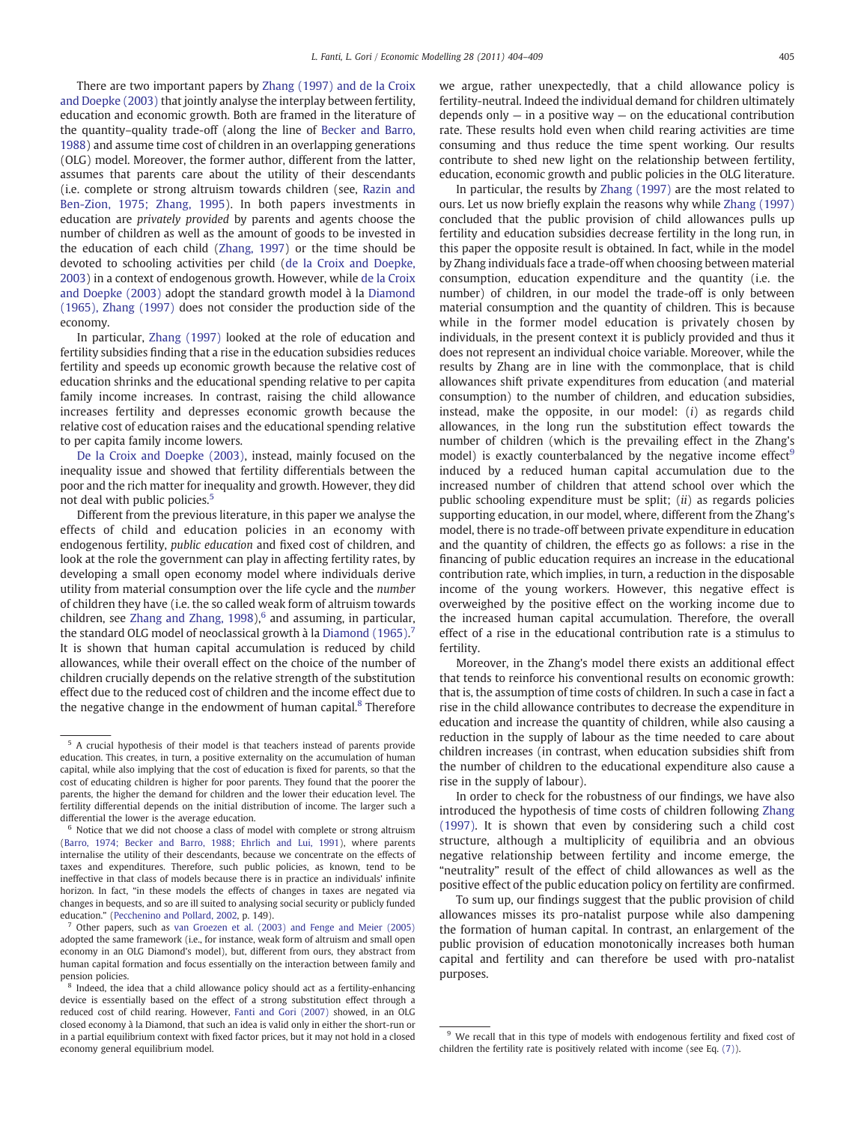There are two important papers by [Zhang \(1997\) and de la Croix](#page--1-0) [and Doepke \(2003\)](#page--1-0) that jointly analyse the interplay between fertility, education and economic growth. Both are framed in the literature of the quantity–quality trade-off (along the line of [Becker and Barro,](#page--1-0) [1988\)](#page--1-0) and assume time cost of children in an overlapping generations (OLG) model. Moreover, the former author, different from the latter, assumes that parents care about the utility of their descendants (i.e. complete or strong altruism towards children (see, [Razin and](#page--1-0) [Ben-Zion, 1975; Zhang, 1995](#page--1-0)). In both papers investments in education are privately provided by parents and agents choose the number of children as well as the amount of goods to be invested in the education of each child ([Zhang, 1997](#page--1-0)) or the time should be devoted to schooling activities per child ([de la Croix and Doepke,](#page--1-0) [2003\)](#page--1-0) in a context of endogenous growth. However, while [de la Croix](#page--1-0) [and Doepke \(2003\)](#page--1-0) adopt the standard growth model à la [Diamond](#page--1-0) [\(1965\), Zhang \(1997\)](#page--1-0) does not consider the production side of the economy.

In particular, [Zhang \(1997\)](#page--1-0) looked at the role of education and fertility subsidies finding that a rise in the education subsidies reduces fertility and speeds up economic growth because the relative cost of education shrinks and the educational spending relative to per capita family income increases. In contrast, raising the child allowance increases fertility and depresses economic growth because the relative cost of education raises and the educational spending relative to per capita family income lowers.

[De la Croix and Doepke \(2003\),](#page--1-0) instead, mainly focused on the inequality issue and showed that fertility differentials between the poor and the rich matter for inequality and growth. However, they did not deal with public policies.<sup>5</sup>

Different from the previous literature, in this paper we analyse the effects of child and education policies in an economy with endogenous fertility, public education and fixed cost of children, and look at the role the government can play in affecting fertility rates, by developing a small open economy model where individuals derive utility from material consumption over the life cycle and the number of children they have (i.e. the so called weak form of altruism towards children, see [Zhang and Zhang, 1998](#page--1-0)),<sup>6</sup> and assuming, in particular, the standard OLG model of neoclassical growth à la [Diamond \(1965\)](#page--1-0).<sup>7</sup> It is shown that human capital accumulation is reduced by child allowances, while their overall effect on the choice of the number of children crucially depends on the relative strength of the substitution effect due to the reduced cost of children and the income effect due to the negative change in the endowment of human capital. $8$  Therefore we argue, rather unexpectedly, that a child allowance policy is fertility-neutral. Indeed the individual demand for children ultimately depends only  $-$  in a positive way  $-$  on the educational contribution rate. These results hold even when child rearing activities are time consuming and thus reduce the time spent working. Our results contribute to shed new light on the relationship between fertility, education, economic growth and public policies in the OLG literature.

In particular, the results by [Zhang \(1997\)](#page--1-0) are the most related to ours. Let us now briefly explain the reasons why while [Zhang \(1997\)](#page--1-0) concluded that the public provision of child allowances pulls up fertility and education subsidies decrease fertility in the long run, in this paper the opposite result is obtained. In fact, while in the model by Zhang individuals face a trade-off when choosing between material consumption, education expenditure and the quantity (i.e. the number) of children, in our model the trade-off is only between material consumption and the quantity of children. This is because while in the former model education is privately chosen by individuals, in the present context it is publicly provided and thus it does not represent an individual choice variable. Moreover, while the results by Zhang are in line with the commonplace, that is child allowances shift private expenditures from education (and material consumption) to the number of children, and education subsidies, instead, make the opposite, in our model:  $(i)$  as regards child allowances, in the long run the substitution effect towards the number of children (which is the prevailing effect in the Zhang's model) is exactly counterbalanced by the negative income effect<sup>9</sup> induced by a reduced human capital accumulation due to the increased number of children that attend school over which the public schooling expenditure must be split;  $(ii)$  as regards policies supporting education, in our model, where, different from the Zhang's model, there is no trade-off between private expenditure in education and the quantity of children, the effects go as follows: a rise in the financing of public education requires an increase in the educational contribution rate, which implies, in turn, a reduction in the disposable income of the young workers. However, this negative effect is overweighed by the positive effect on the working income due to the increased human capital accumulation. Therefore, the overall effect of a rise in the educational contribution rate is a stimulus to fertility.

Moreover, in the Zhang's model there exists an additional effect that tends to reinforce his conventional results on economic growth: that is, the assumption of time costs of children. In such a case in fact a rise in the child allowance contributes to decrease the expenditure in education and increase the quantity of children, while also causing a reduction in the supply of labour as the time needed to care about children increases (in contrast, when education subsidies shift from the number of children to the educational expenditure also cause a rise in the supply of labour).

In order to check for the robustness of our findings, we have also introduced the hypothesis of time costs of children following [Zhang](#page--1-0) [\(1997\).](#page--1-0) It is shown that even by considering such a child cost structure, although a multiplicity of equilibria and an obvious negative relationship between fertility and income emerge, the "neutrality" result of the effect of child allowances as well as the positive effect of the public education policy on fertility are confirmed.

To sum up, our findings suggest that the public provision of child allowances misses its pro-natalist purpose while also dampening the formation of human capital. In contrast, an enlargement of the public provision of education monotonically increases both human capital and fertility and can therefore be used with pro-natalist purposes.

<sup>&</sup>lt;sup>5</sup> A crucial hypothesis of their model is that teachers instead of parents provide education. This creates, in turn, a positive externality on the accumulation of human capital, while also implying that the cost of education is fixed for parents, so that the cost of educating children is higher for poor parents. They found that the poorer the parents, the higher the demand for children and the lower their education level. The fertility differential depends on the initial distribution of income. The larger such a differential the lower is the average education.

Notice that we did not choose a class of model with complete or strong altruism [\(Barro, 1974; Becker and Barro, 1988; Ehrlich and Lui, 1991\)](#page--1-0), where parents internalise the utility of their descendants, because we concentrate on the effects of taxes and expenditures. Therefore, such public policies, as known, tend to be ineffective in that class of models because there is in practice an individuals' infinite horizon. In fact, "in these models the effects of changes in taxes are negated via changes in bequests, and so are ill suited to analysing social security or publicly funded education." [\(Pecchenino and Pollard, 2002,](#page--1-0) p. 149).

<sup>7</sup> Other papers, such as [van Groezen et al. \(2003\) and Fenge and Meier \(2005\)](#page--1-0) adopted the same framework (i.e., for instance, weak form of altruism and small open economy in an OLG Diamond's model), but, different from ours, they abstract from human capital formation and focus essentially on the interaction between family and pension policies.

Indeed, the idea that a child allowance policy should act as a fertility-enhancing device is essentially based on the effect of a strong substitution effect through a reduced cost of child rearing. However, [Fanti and Gori \(2007\)](#page--1-0) showed, in an OLG closed economy à la Diamond, that such an idea is valid only in either the short-run or in a partial equilibrium context with fixed factor prices, but it may not hold in a closed economy general equilibrium model.

<sup>&</sup>lt;sup>9</sup> We recall that in this type of models with endogenous fertility and fixed cost of children the fertility rate is positively related with income (see Eq. (7)).